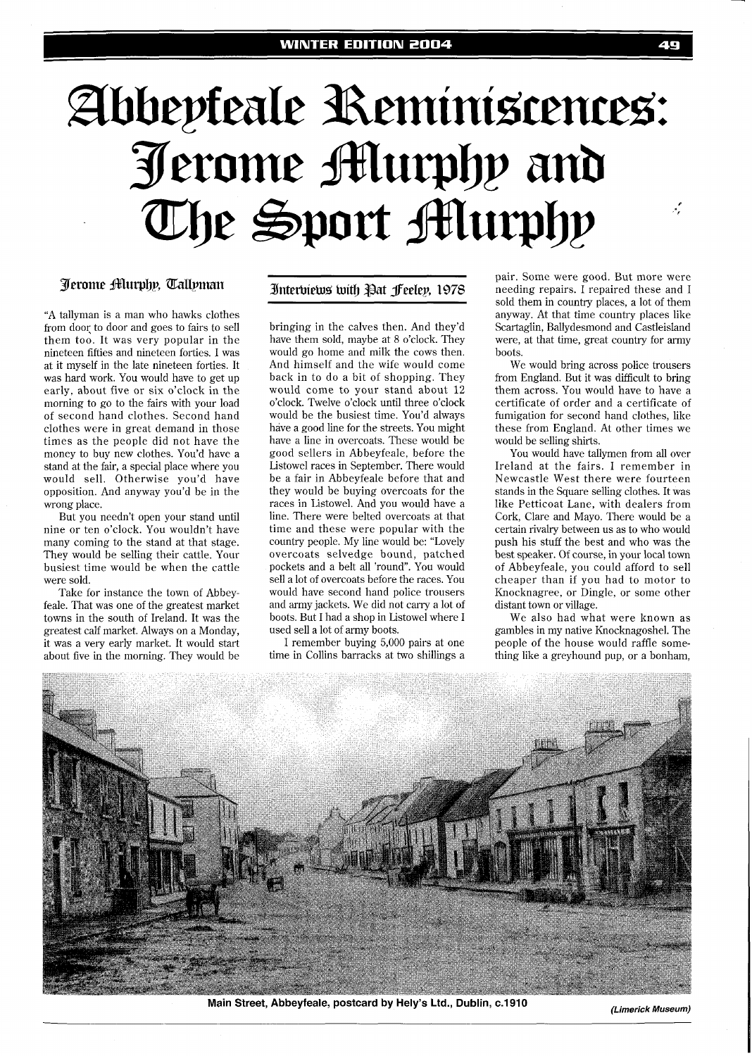# Abbepteale Reminiscences: Jerome Murphy and The Sport Murphy  $\cdot$

# **Jerome Aturphy, Tallyman**

"A tallyman is a man who hawks clothes from dooq to door and goes to fairs to sell them too. It was very popular in the nineteen fifties and nineteen forties. I was at it myself in the late nineteen forties. It was hard work. You would have to get up early, about five or six o'clock in the morning to go to the fairs with your load of second hand clothes. Second hand clothes were in great demand in those times as the people did not have the money to buy new clothes. You'd have a stand at the fair, a special place where you would sell. Otherwise you'd have opposition. And anyway you'd be in the wrong place.

But you needn't open your stand until nine or ten o'clock. You wouldn't have many coming to the stand at that stage. They would be selling their cattle. Your busiest time would be when the cattle were sold.

Take for instance the town of Abbeyfeale. That was one of the greatest market towns in the south of Ireland. It was the greatest calf market. Always on a Monday, it was a very early market. It would start about five in the morning. They would be

### Interbiews with Pat Jeelep, 1978

bringing in the calves then. And they'd have them sold, maybe at 8 o'clock. They would go home and milk the cows then. And himself and the wife would come back in to do a bit of shopping. They would come to your stand about 12 o'clock. Twelve o'clock until three o'clock would be the busiest time. You'd always have a good line for the streets. You might have a line in overcoats. These would be good sellers in Abbeyfeale, before the Listowel races in September. There would be a fair in Abbeyfeale before that and they would be buying overcoats for the races in Listowel. And you would have a line. There were belted overcoats at that time and these were popular with the country people. My line would be: "Lovely overcoats selvedge bound, patched pockets and a belt all 'round". You would sell a lot of overcoats before the races. You would have second hand police trousers and army jackets. We did not carry a lot of boots. But I had a shop in Listowel where I used sell a lot of army boots.

I remember buying 5,000 pairs at one time in Collins barracks at two shillings a

pair. Some were good. But more were needing repairs. I repaired these and I sold them in country places, a lot of them anyway. At that time country places like Scartaglin, Ballydesmond and Castleisland were, at that time, great country for army boots.

40

We would bring across police trousers from England. But it was difficult to bring them across. You would have to have a certificate of order and a certificate of fumigation for second hand clothes, like these from England. At other times we would be selling shirts.

You would have tallymen from all over Ireland at the fairs. I remember in Newcastle West there were fourteen stands in the Square selling clothes. It was like Petticoat Lane, with dealers from Cork, Clare and Mayo. There would be a certain rivalry between us as to who would push his stuff the best and who was the best speaker. Of course, in your local town of Abbeyfeale, you could afford to sell cheaper than if you had to motor to Knocknagree, or Dingle, or some other distant town or village.

We also had what were known as gambles in my native Knocknagoshel. The people of the house would raffle something like a greyhound pup, or a bonham,



**Main Street, Abbeyfeale, postcard by Hely's Ltd., Dublin, c.1910 (Limerick Museum)**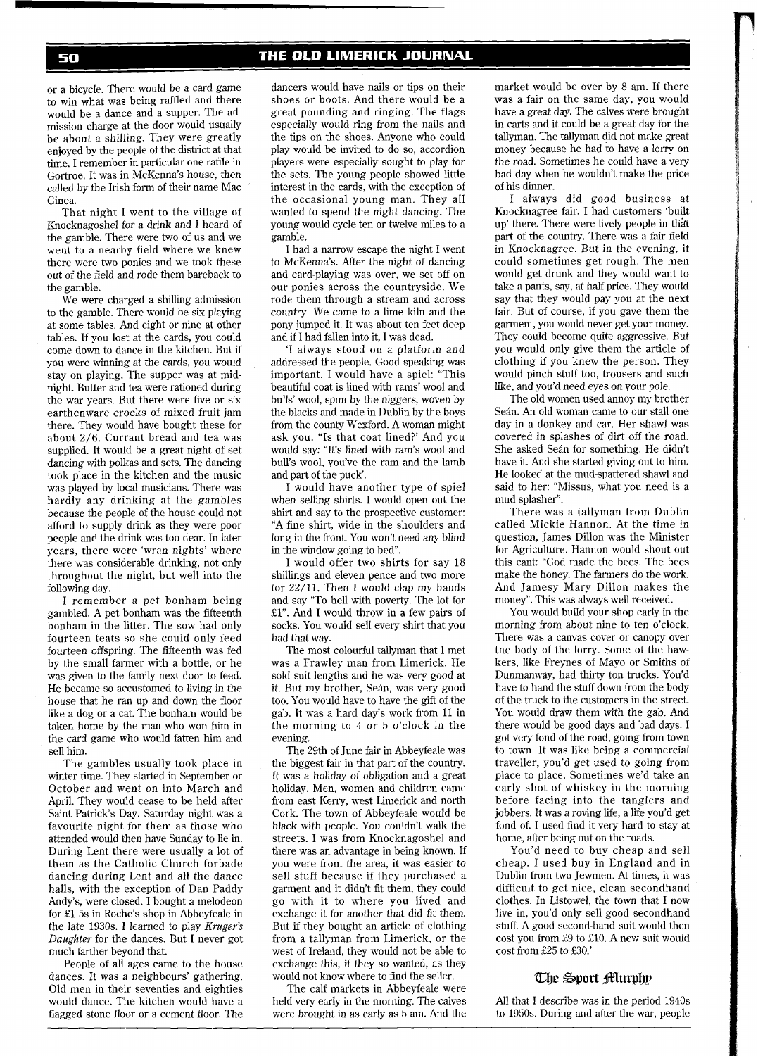## THE OLD LIMERICK JOURNAL

or a bicycle. There would be a card game to win what was being raffled and there would be a dance and a supper. The admission charge at the door would usually be about a shilling. They were greatly enjoyed by the people of the district at that time. I remember in particular one raffle in Gortroe. It was in McKenna's house, then called by the Irish form of their name Mac Ginea.

That night I went to the village of Knocknagoshel for a drink and I heard of the gamble. There were two of us and we went to a nearby field where we knew there were two ponies and we took these out of the field and rode them bareback to the gamble.

We were charged a shilling admission to the gamble. There would be six playing at some tables. And eight or nine at other tables. If you lost at the cards, you could come down to dance in the kitchen. But if you were winning at the cards, you would stay on playing. The supper was at midnight. Butter and tea were rationed during the war years. But there were five or six earthenware crocks of mixed fruit jam there. They would have bought these for about 2/6. Currant bread and tea was supplied. It would be a great night of set dancing with polkas and sets. The dancing took place in the kitchen and the music was played by local musicians. There was hardly any drinking at the gambles because the people of the house could not afford to supply drink as they were poor people and the drink was too dear. In later years, there were 'wran nights' where there was considerable drinking, not only throughout the night, but well into the following day.

I remember a pet bonham being gambled. A pet bonham was the fifteenth bonham in the litter. The sow had only fourteen teats so she could only feed fourteen offspring. The fifteenth was fed by the small farmer with a bottle, or he was given to the family next door to feed. He became so accustomed to living in the house that he ran up and down the floor like a dog or a cat. The bonham would be taken home by the man who won him in the card game who would fatten him and sell him.

The gambles usually took place in winter time. They started in September or October and went on into March and April. They would cease to be held after Saint Patrick's Day. Saturday night was a favourite night for them as those who attended would then have Sunday to lie in. During Lent there were usually a lot of them as the Catholic Church forbade dancing during Lent and all the dance halls, with the exception of Dan Paddy Andy's, were closed. I bought a melodeon for El 5s in Roche's shop in Abbeyfeale in the late 1930s. I learned to play *Kruger's Daughter* for the dances. But I never got much farther beyond that.

People of all ages came to the house dances. It was a neighbours' gathering. Old men in their seventies and eighties would dance. The kitchen would have a flagged stone floor or a cement floor. The

dancers would have nails or tips on their shoes or boots. And there would be a great pounding and ringing. The flags especially would ring from the nails and the tips on the shoes. Anyone who could play would be invited to do so, accordion players were especially sought to play for the sets. The young people showed little interest in the cards, with the exception of the occasional young man. They all wanted to spend the night dancing. The young would cycle ten or twelve miles to a gamble.

I had a narrow escape the night I went to McKenna's. After the night of dancing and card-playing was over, we set off on our ponies across the countryside. We rode them through a stream and across country. We came to a lime kiln and the pony jumped it. It was about ten feet deep and if I had fallen into it, I was dead.

'I always stood on a platform and addressed the people. Good speaking was important. I would have a spiel: "This beautiful coat is lined with rams' wool and bulls' wool, spun by the niggers, woven by the blacks and made in Dublin by the boys from the county Wexford. A woman might ask you: "Is that coat lined?' And you would say: "It's lined with ram's wool and bull's wool, you've the ram and the lamb and part of the puck'.

I would have another type of spiel when selling shirts. I would open out the shirt and say to the prospective customer: "A fine shirt, wide in the shoulders and long in the front. You won't need any blind in the window going to bed".

I would offer two shirts for say 18 shillings and eleven pence and two more for 22/11. Then I would clap my hands and say "To hell with poverty. The lot for £1". And I would throw in a few pairs of socks. You would sell every shirt that you had that way.

The most colourful tallyman that I met was a Frawley man from Limerick. He sold suit lengths and he was very good at it. But my brother, Seán, was very good too. You would have to have the gift of the gab. It was a hard day's work from 11 in the morning to 4 or 5 o'clock in the evening.

The 29th of June fair in Abbeyfeale was the biggest fair in that part of the country. It was a holiday of obligation and a great holiday. Men, women and children came from east Kerry, west Limerick and north Cork. The town of Abbeyfeale would be black with people. You couldn't walk the streets. I was from Knocknagoshel and there was an advantage in being known. If you were from the area, it was easier to sell stuff because if they purchased a garment and it didn't fit them, they could go with it to where you lived and exchange it for another that did fit them. But if they bought an article of clothing from a tallyman from Limerick, or the west of Ireland, they would not be able to exchange this, if they so wanted, as they would not know where to find the seller.

The calf markets in Abbeyfeale were held very early in the morning. The calves were brought in as early as 5 am. And the

market would be over by 8 am. If there was a fair on the same day, you would have a great day. The calves were brought in carts and it could be a great day for the tallyman. The tallyman did not make great money because he had to have a lorry on the road. Sometimes he could have a very bad day when he wouldn't make the price of his dinner.

I always did good business at Knocknagree fair. I had customers 'built up' there. There were lively people in that part of the country. There was a fair field in Knocknagree. But in the evening, it could sometimes get rough. The men would get drunk and they would want to take a pants, say, at half price. They would say that they would pay you at the next fair. But of course, if you gave them the garment, you would never get your money. They could become quite aggressive. But you would only give them the article of clothing if you knew the person. They would pinch stuff too, trousers and such like, and you'd need eyes on your pole.

The old women used annoy my brother Seán. An old woman came to our stall one day in a donkey and car. Her shawl was covered in splashes of dirt off the road. She asked Seán for something. He didn't have it. And she started giving out to him. He looked at the mud-spattered shawl and said to her: "Missus, what you need is a mud splasher".

There was a tallyman from Dublin called Mickie Hannon. At the time in question, James Dillon was the Minister for Agriculture. Hannon would shout out this cant: "God made the bees. The bees make the honey. The farmers do the work. And Jamesy Mary Dillon makes the money". This was always well received.

You would build your shop early in the morning from about nine to ten o'clock. There was a canvas cover or canopy over the body of the lorry. Some of the hawkers, like Freynes of Mayo or Smiths of Dunmanway, had thirty ton trucks. You'd have to hand the stuff down from the body of the truck to the customers in the street. You would draw them with the gab. And there would be good days and bad days. I got very fond of the road, going from town to town. It was like being a commercial traveller, you'd get used to going from place to place. Sometimes we'd take an early shot of whiskey in the morning before facing into the tanglers and jobbers. It was a roving life, a life you'd get fond of. I used find it very hard to stay at home, after being out on the roads.

You'd need to buy cheap and sell cheap. I used buy in England and in Dublin from two Jewrnen. At times, it was difficult to get nice, clean secondhand clothes. In Listowel, the town that I now live in, you'd only sell good secondhand stuff. A good second-hand suit would then cost you from £9 to £10. A new suit would cost from £25 to £30.'

## The Sport Murphy

All that I describe was in the period 1940s to 1950s. During and after the war, people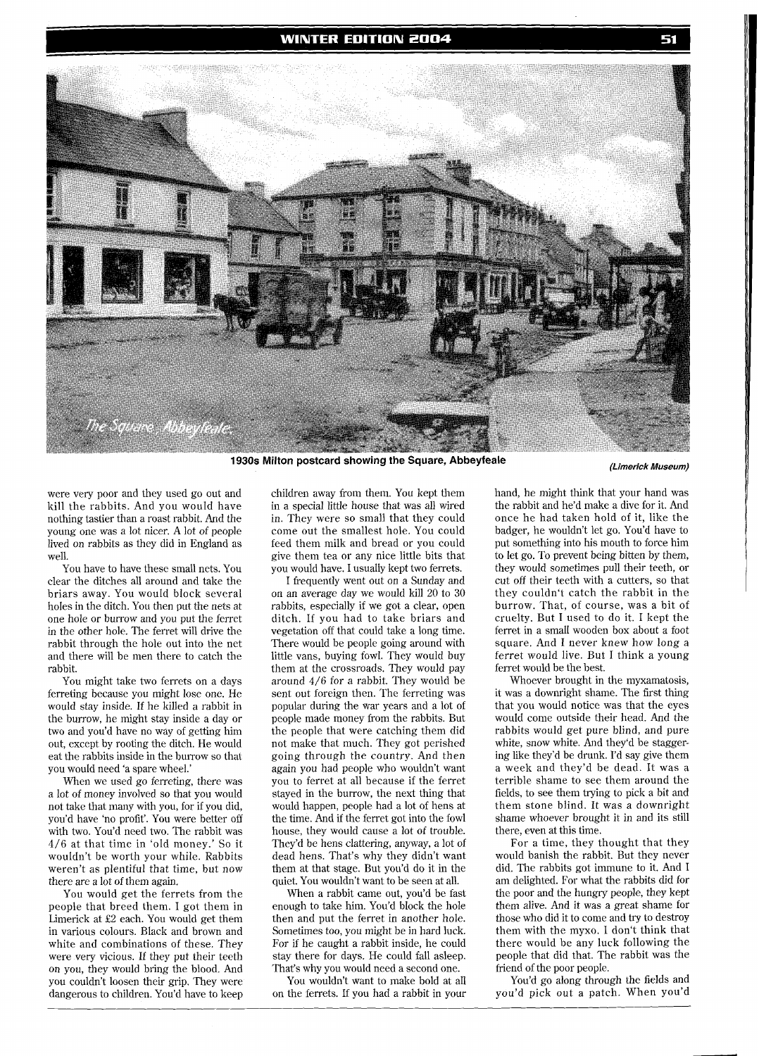#### **WINTER EDITION 2004**



**1930s Milton postcard showing the Square, Abbeyfeale (Limerick Museum)** 

were very poor and they used go out and kill the rabbits. And you would have nothing tastier than a roast rabbit. And the young one was a lot nicer. A lot of people lived on rabbits as they did in England as well.

You have to have these small nets. You clear the ditches all around and take the briars away. You would block several holes in the ditch. You then put the nets at one hole or burrow and you put the ferret in the other hole. The ferret will drive the rabbit through the hole out into the net and there will be men there to catch the rabbit.

You might take two ferrets on a days ferreting because you might lose one. He would stay inside. If he killed a rabbit in the burrow, he might stay inside a day or two and you'd have no way of getting him out, except by rooting the ditch. He would eat the rabbits inside in the burrow so that you would need 'a spare wheel.'

When we used go ferreting, there was a lot of money involved so that you would not take that many with you, for if you did, you'd have 'no profit'. You were better off with two. You'd need two. The rabbit was 4/6 at that time in 'old money.' So it wouldn't be worth your while. Rabbits weren't as plentiful that time, but now there are a lot of them again.

You would get the ferrets from the people that breed them. I got them in Limerick at E2 each. You would get them in various colours. Black and brown and white and combinations of these. They were very vicious. If they put their teeth on you, they would bring the blood. And you couldn't loosen their grip. They were dangerous to children. You'd have to keep children away from them. You kept them in a special little house that was all wired in. They were so small that they could come out the smallest hole. You could feed them milk and bread or you could give them tea or any nice little bits that you would have. I usually kept two ferrets.

I frequently went out on a Sunday and on an average day we would kill 20 to 30 rabbits, especially if we got a clear, open ditch. If you had to take briars and vegetation off that could take a long time. There would be people going around with little vans, buying fowl. They would buy them at the crossroads. They would pay around 4/6 for a rabbit. They would be sent out foreign then. The ferreting was popular during the war years and a lot of people made money from the rabbits. But the people that were catching them did not make that much. They got perished going through the country. And then again you had people who wouldn't want you to ferret at all because if the ferret stayed in the burrow, the next thing that would happen, people had a lot of hens at the time. And if the ferret got into the fowl house, they would cause a lot of trouble. They'd be hens clattering, anyway, a lot of dead hens. That's why they didn't want them at that stage. But you'd do it in the quiet. You wouldn't want to be seen at all.

When a rabbit came out, you'd be fast enough to take him. You'd block the hole then and put the ferret in another hole. Sometimes too, you might be in hard luck. For if he caught a rabbit inside, he could stay there for days. He could fall asleep. That's why you would need a second one.

You wouldn't want to make bold at all on the ferrets. If you had a rabbit in your

hand, he might think that your hand was the rabbit and he'd make a dive for it. And once he had taken hold of it, like the badger, he wouldn't let go. You'd have to put something into his mouth to force him to let go. To prevent being bitten by them, they would sometimes pull their teeth, or cut off their teeth with a cutters, so that they couldn't catch the rabbit in the burrow. That, of course, was a bit of cruelty. But I used to do it. I kept the ferret in a small wooden box about a foot square. And I never knew how long a ferret would live. But I think a young ferret would be the best.

Whoever brought in the myxamatosis, it was a downright shame. The first thing that you would notice was that the eyes would come outside their head. And the rabbits would get pure blind, and pure white, snow white. And they'd be staggering like they'd be drunk. I'd say give them a week and they'd be dead. It was a terrible shame to see them around the fields, to see them trying to pick a bit and them stone blind. It was a downright shame whoever brought it in and its still there, even at this time.

For a time, they thought that they would banish the rabbit. But they never did. The rabbits got immune to it. And I am delighted. For what the rabbits did for the poor and the hungry people, they kept them alive. And it was a great shame for those who did it to come and try to destroy them with the myxo. I don't think that there would be any luck following the people that did that. The rabbit was the friend of the poor people.

You'd go along through the fields and you'd pick out a patch. When you'd